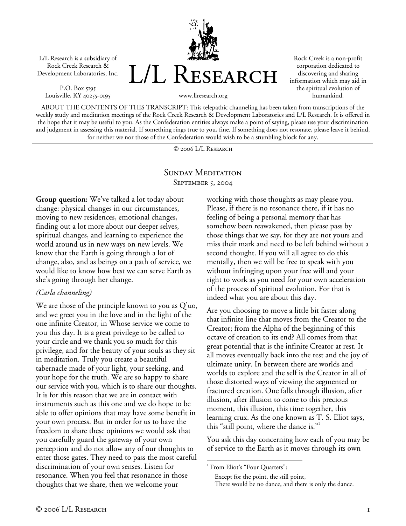L/L Research is a subsidiary of Rock Creek Research & Development Laboratories, Inc.

P.O. Box 5195 Louisville, KY 40255-0195



Rock Creek is a non-profit corporation dedicated to discovering and sharing information which may aid in the spiritual evolution of humankind.

www.llresearch.org

ABOUT THE CONTENTS OF THIS TRANSCRIPT: This telepathic channeling has been taken from transcriptions of the weekly study and meditation meetings of the Rock Creek Research & Development Laboratories and L/L Research. It is offered in the hope that it may be useful to you. As the Confederation entities always make a point of saying, please use your discrimination and judgment in assessing this material. If something rings true to you, fine. If something does not resonate, please leave it behind, for neither we nor those of the Confederation would wish to be a stumbling block for any.

© 2006 L/L Research

## SUNDAY MEDITATION SEPTEMBER 5, 2004

**Group question:** We've talked a lot today about change: physical changes in our circumstances, moving to new residences, emotional changes, finding out a lot more about our deeper selves, spiritual changes, and learning to experience the world around us in new ways on new levels. We know that the Earth is going through a lot of change, also, and as beings on a path of service, we would like to know how best we can serve Earth as she's going through her change.

## *(Carla channeling)*

We are those of the principle known to you as Q'uo, and we greet you in the love and in the light of the one infinite Creator, in Whose service we come to you this day. It is a great privilege to be called to your circle and we thank you so much for this privilege, and for the beauty of your souls as they sit in meditation. Truly you create a beautiful tabernacle made of your light, your seeking, and your hope for the truth. We are so happy to share our service with you, which is to share our thoughts. It is for this reason that we are in contact with instruments such as this one and we do hope to be able to offer opinions that may have some benefit in your own process. But in order for us to have the freedom to share these opinions we would ask that you carefully guard the gateway of your own perception and do not allow any of our thoughts to enter those gates. They need to pass the most careful discrimination of your own senses. Listen for resonance. When you feel that resonance in those thoughts that we share, then we welcome your

working with those thoughts as may please you. Please, if there is no resonance there, if it has no feeling of being a personal memory that has somehow been reawakened, then please pass by those things that we say, for they are not yours and miss their mark and need to be left behind without a second thought. If you will all agree to do this mentally, then we will be free to speak with you without infringing upon your free will and your right to work as you need for your own acceleration of the process of spiritual evolution. For that is indeed what you are about this day.

Are you choosing to move a little bit faster along that infinite line that moves from the Creator to the Creator; from the Alpha of the beginning of this octave of creation to its end? All comes from that great potential that is the infinite Creator at rest. It all moves eventually back into the rest and the joy of ultimate unity. In between there are worlds and worlds to explore and the self is the Creator in all of those distorted ways of viewing the segmented or fractured creation. One falls through illusion, after illusion, after illusion to come to this precious moment, this illusion, this time together, this learning crux. As the one known as T. S. Eliot says, this "still point, where the dance is."

You ask this day concerning how each of you may be of service to the Earth as it moves through its own

 $\overline{a}$ 

<sup>&</sup>lt;sup>1</sup> From Eliot's "Four Quartets":

Except for the point, the still point,

There would be no dance, and there is only the dance.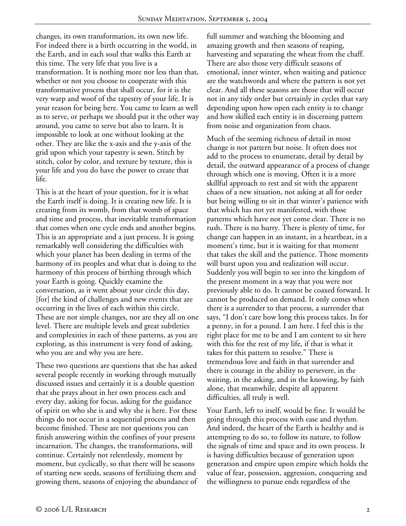changes, its own transformation, its own new life. For indeed there is a birth occurring in the world, in the Earth, and in each soul that walks this Earth at this time. The very life that you live is a transformation. It is nothing more nor less than that, whether or not you choose to cooperate with this transformative process that shall occur, for it is the very warp and woof of the tapestry of your life. It is your reason for being here. You came to learn as well as to serve, or perhaps we should put it the other way around, you came to serve but also to learn. It is impossible to look at one without looking at the other. They are like the x-axis and the y-axis of the grid upon which your tapestry is sewn. Stitch by stitch, color by color, and texture by texture, this is your life and you do have the power to create that life.

This is at the heart of your question, for it is what the Earth itself is doing. It is creating new life. It is creating from its womb, from that womb of space and time and process, that inevitable transformation that comes when one cycle ends and another begins. This is an appropriate and a just process. It is going remarkably well considering the difficulties with which your planet has been dealing in terms of the harmony of its peoples and what that is doing to the harmony of this process of birthing through which your Earth is going. Quickly examine the conversation, as it went about your circle this day, [for] the kind of challenges and new events that are occurring in the lives of each within this circle. These are not simple changes, nor are they all on one level. There are multiple levels and great subtleties and complexities in each of these patterns, as you are exploring, as this instrument is very fond of asking, who you are and why you are here.

These two questions are questions that she has asked several people recently in working through mutually discussed issues and certainly it is a double question that she prays about in her own process each and every day, asking for focus, asking for the guidance of spirit on who she is and why she is here. For these things do not occur in a sequential process and then become finished. These are not questions you can finish answering within the confines of your present incarnation. The changes, the transformations, will continue. Certainly not relentlessly, moment by moment, but cyclically, so that there will be seasons of starting new seeds, seasons of fertilizing them and growing them, seasons of enjoying the abundance of

full summer and watching the blooming and amazing growth and then seasons of reaping, harvesting and separating the wheat from the chaff. There are also those very difficult seasons of emotional, inner winter, when waiting and patience are the watchwords and where the pattern is not yet clear. And all these seasons are those that will occur not in any tidy order but certainly in cycles that vary depending upon how open each entity is to change and how skilled each entity is in discerning pattern from noise and organization from chaos.

Much of the seeming richness of detail in most change is not pattern but noise. It often does not add to the process to enumerate, detail by detail by detail, the outward appearance of a process of change through which one is moving. Often it is a more skillful approach to rest and sit with the apparent chaos of a new situation, not asking at all for order but being willing to sit in that winter's patience with that which has not yet manifested, with those patterns which have not yet come clear. There is no rush. There is no hurry. There is plenty of time, for change can happen in an instant, in a heartbeat, in a moment's time, but it is waiting for that moment that takes the skill and the patience. Those moments will burst upon you and realization will occur. Suddenly you will begin to see into the kingdom of the present moment in a way that you were not previously able to do. It cannot be coaxed forward. It cannot be produced on demand. It only comes when there is a surrender to that process, a surrender that says, "I don't care how long this process takes. In for a penny, in for a pound. I am here. I feel this is the right place for me to be and I am content to sit here with this for the rest of my life, if that is what it takes for this pattern to resolve." There is tremendous love and faith in that surrender and there is courage in the ability to persevere, in the waiting, in the asking, and in the knowing, by faith alone, that meanwhile, despite all apparent difficulties, all truly is well.

Your Earth, left to itself, would be fine. It would be going through this process with ease and rhythm. And indeed, the heart of the Earth is healthy and is attempting to do so, to follow its nature, to follow the signals of time and space and its own process. It is having difficulties because of generation upon generation and empire upon empire which holds the value of fear, possession, aggression, conquering and the willingness to pursue ends regardless of the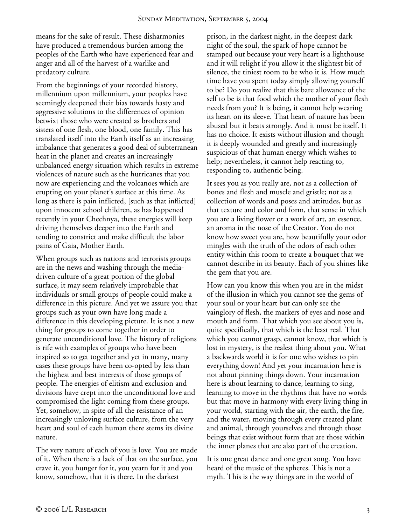means for the sake of result. These disharmonies have produced a tremendous burden among the peoples of the Earth who have experienced fear and anger and all of the harvest of a warlike and predatory culture.

From the beginnings of your recorded history, millennium upon millennium, your peoples have seemingly deepened their bias towards hasty and aggressive solutions to the differences of opinion betwixt those who were created as brothers and sisters of one flesh, one blood, one family. This has translated itself into the Earth itself as an increasing imbalance that generates a good deal of subterranean heat in the planet and creates an increasingly unbalanced energy situation which results in extreme violences of nature such as the hurricanes that you now are experiencing and the volcanoes which are erupting on your planet's surface at this time. As long as there is pain inflicted, [such as that inflicted] upon innocent school children, as has happened recently in your Chechnya, these energies will keep driving themselves deeper into the Earth and tending to constrict and make difficult the labor pains of Gaia, Mother Earth.

When groups such as nations and terrorists groups are in the news and washing through the mediadriven culture of a great portion of the global surface, it may seem relatively improbable that individuals or small groups of people could make a difference in this picture. And yet we assure you that groups such as your own have long made a difference in this developing picture. It is not a new thing for groups to come together in order to generate unconditional love. The history of religions is rife with examples of groups who have been inspired so to get together and yet in many, many cases these groups have been co-opted by less than the highest and best interests of those groups of people. The energies of elitism and exclusion and divisions have crept into the unconditional love and compromised the light coming from these groups. Yet, somehow, in spite of all the resistance of an increasingly unloving surface culture, from the very heart and soul of each human there stems its divine nature.

The very nature of each of you is love. You are made of it. When there is a lack of that on the surface, you crave it, you hunger for it, you yearn for it and you know, somehow, that it is there. In the darkest

prison, in the darkest night, in the deepest dark night of the soul, the spark of hope cannot be stamped out because your very heart is a lighthouse and it will relight if you allow it the slightest bit of silence, the tiniest room to be who it is. How much time have you spent today simply allowing yourself to be? Do you realize that this bare allowance of the self to be is that food which the mother of your flesh needs from you? It is being, it cannot help wearing its heart on its sleeve. That heart of nature has been abused but it beats strongly. And it must be itself. It has no choice. It exists without illusion and though it is deeply wounded and greatly and increasingly suspicious of that human energy which wishes to help; nevertheless, it cannot help reacting to, responding to, authentic being.

It sees you as you really are, not as a collection of bones and flesh and muscle and gristle; not as a collection of words and poses and attitudes, but as that texture and color and form, that sense in which you are a living flower or a work of art, an essence, an aroma in the nose of the Creator. You do not know how sweet you are, how beautifully your odor mingles with the truth of the odors of each other entity within this room to create a bouquet that we cannot describe in its beauty. Each of you shines like the gem that you are.

How can you know this when you are in the midst of the illusion in which you cannot see the gems of your soul or your heart but can only see the vainglory of flesh, the markers of eyes and nose and mouth and form. That which you see about you is, quite specifically, that which is the least real. That which you cannot grasp, cannot know, that which is lost in mystery, is the realest thing about you. What a backwards world it is for one who wishes to pin everything down! And yet your incarnation here is not about pinning things down. Your incarnation here is about learning to dance, learning to sing, learning to move in the rhythms that have no words but that move in harmony with every living thing in your world, starting with the air, the earth, the fire, and the water, moving through every created plant and animal, through yourselves and through those beings that exist without form that are those within the inner planes that are also part of the creation.

It is one great dance and one great song. You have heard of the music of the spheres. This is not a myth. This is the way things are in the world of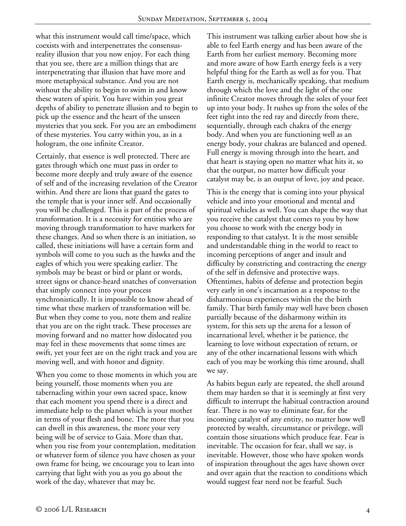what this instrument would call time/space, which coexists with and interpenetrates the consensusreality illusion that you now enjoy. For each thing that you see, there are a million things that are interpenetrating that illusion that have more and more metaphysical substance. And you are not without the ability to begin to swim in and know these waters of spirit. You have within you great depths of ability to penetrate illusion and to begin to pick up the essence and the heart of the unseen mysteries that you seek. For you are an embodiment of these mysteries. You carry within you, as in a hologram, the one infinite Creator.

Certainly, that essence is well protected. There are gates through which one must pass in order to become more deeply and truly aware of the essence of self and of the increasing revelation of the Creator within. And there are lions that guard the gates to the temple that is your inner self. And occasionally you will be challenged. This is part of the process of transformation. It is a necessity for entities who are moving through transformation to have markers for these changes. And so when there is an initiation, so called, these initiations will have a certain form and symbols will come to you such as the hawks and the eagles of which you were speaking earlier. The symbols may be beast or bird or plant or words, street signs or chance-heard snatches of conversation that simply connect into your process synchronistically. It is impossible to know ahead of time what these markers of transformation will be. But when they come to you, note them and realize that you are on the right track. These processes are moving forward and no matter how dislocated you may feel in these movements that some times are swift, yet your feet are on the right track and you are moving well, and with honor and dignity.

When you come to those moments in which you are being yourself, those moments when you are tabernacling within your own sacred space, know that each moment you spend there is a direct and immediate help to the planet which is your mother in terms of your flesh and bone. The more that you can dwell in this awareness, the more your very being will be of service to Gaia. More than that, when you rise from your contemplation, meditation or whatever form of silence you have chosen as your own frame for being, we encourage you to lean into carrying that light with you as you go about the work of the day, whatever that may be.

This instrument was talking earlier about how she is able to feel Earth energy and has been aware of the Earth from her earliest memory. Becoming more and more aware of how Earth energy feels is a very helpful thing for the Earth as well as for you. That Earth energy is, mechanically speaking, that medium through which the love and the light of the one infinite Creator moves through the soles of your feet up into your body. It rushes up from the soles of the feet right into the red ray and directly from there, sequentially, through each chakra of the energy body. And when you are functioning well as an energy body, your chakras are balanced and opened. Full energy is moving through into the heart, and that heart is staying open no matter what hits it, so that the output, no matter how difficult your catalyst may be, is an output of love, joy and peace.

This is the energy that is coming into your physical vehicle and into your emotional and mental and spiritual vehicles as well. You can shape the way that you receive the catalyst that comes to you by how you choose to work with the energy body in responding to that catalyst. It is the most sensible and understandable thing in the world to react to incoming perceptions of anger and insult and difficulty by constricting and contracting the energy of the self in defensive and protective ways. Oftentimes, habits of defense and protection begin very early in one's incarnation as a response to the disharmonious experiences within the the birth family. That birth family may well have been chosen partially because of the disharmony within its system, for this sets up the arena for a lesson of incarnational level, whether it be patience, the learning to love without expectation of return, or any of the other incarnational lessons with which each of you may be working this time around, shall we say.

As habits begun early are repeated, the shell around them may harden so that it is seemingly at first very difficult to interrupt the habitual contraction around fear. There is no way to eliminate fear, for the incoming catalyst of any entity, no matter how well protected by wealth, circumstance or privilege, will contain those situations which produce fear. Fear is inevitable. The occasion for fear, shall we say, is inevitable. However, those who have spoken words of inspiration throughout the ages have shown over and over again that the reaction to conditions which would suggest fear need not be fearful. Such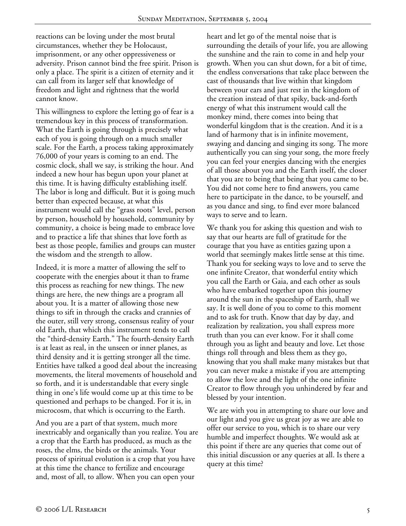reactions can be loving under the most brutal circumstances, whether they be Holocaust, imprisonment, or any other oppressiveness or adversity. Prison cannot bind the free spirit. Prison is only a place. The spirit is a citizen of eternity and it can call from its larger self that knowledge of freedom and light and rightness that the world cannot know.

This willingness to explore the letting go of fear is a tremendous key in this process of transformation. What the Earth is going through is precisely what each of you is going through on a much smaller scale. For the Earth, a process taking approximately 76,000 of your years is coming to an end. The cosmic clock, shall we say, is striking the hour. And indeed a new hour has begun upon your planet at this time. It is having difficulty establishing itself. The labor is long and difficult. But it is going much better than expected because, at what this instrument would call the "grass roots" level, person by person, household by household, community by community, a choice is being made to embrace love and to practice a life that shines that love forth as best as those people, families and groups can muster the wisdom and the strength to allow.

Indeed, it is more a matter of allowing the self to cooperate with the energies about it than to frame this process as reaching for new things. The new things are here, the new things are a program all about you. It is a matter of allowing those new things to sift in through the cracks and crannies of the outer, still very strong, consensus reality of your old Earth, that which this instrument tends to call the "third-density Earth." The fourth-density Earth is at least as real, in the unseen or inner planes, as third density and it is getting stronger all the time. Entities have talked a good deal about the increasing movements, the literal movements of household and so forth, and it is understandable that every single thing in one's life would come up at this time to be questioned and perhaps to be changed. For it is, in microcosm, that which is occurring to the Earth.

And you are a part of that system, much more inextricably and organically than you realize. You are a crop that the Earth has produced, as much as the roses, the elms, the birds or the animals. Your process of spiritual evolution is a crop that you have at this time the chance to fertilize and encourage and, most of all, to allow. When you can open your

heart and let go of the mental noise that is surrounding the details of your life, you are allowing the sunshine and the rain to come in and help your growth. When you can shut down, for a bit of time, the endless conversations that take place between the cast of thousands that live within that kingdom between your ears and just rest in the kingdom of the creation instead of that spiky, back-and-forth energy of what this instrument would call the monkey mind, there comes into being that wonderful kingdom that is the creation. And it is a land of harmony that is in infinite movement, swaying and dancing and singing its song. The more authentically you can sing your song, the more freely you can feel your energies dancing with the energies of all those about you and the Earth itself, the closer that you are to being that being that you came to be. You did not come here to find answers, you came here to participate in the dance, to be yourself, and as you dance and sing, to find ever more balanced ways to serve and to learn.

We thank you for asking this question and wish to say that our hearts are full of gratitude for the courage that you have as entities gazing upon a world that seemingly makes little sense at this time. Thank you for seeking ways to love and to serve the one infinite Creator, that wonderful entity which you call the Earth or Gaia, and each other as souls who have embarked together upon this journey around the sun in the spaceship of Earth, shall we say. It is well done of you to come to this moment and to ask for truth. Know that day by day, and realization by realization, you shall express more truth than you can ever know. For it shall come through you as light and beauty and love. Let those things roll through and bless them as they go, knowing that you shall make many mistakes but that you can never make a mistake if you are attempting to allow the love and the light of the one infinite Creator to flow through you unhindered by fear and blessed by your intention.

We are with you in attempting to share our love and our light and you give us great joy as we are able to offer our service to you, which is to share our very humble and imperfect thoughts. We would ask at this point if there are any queries that come out of this initial discussion or any queries at all. Is there a query at this time?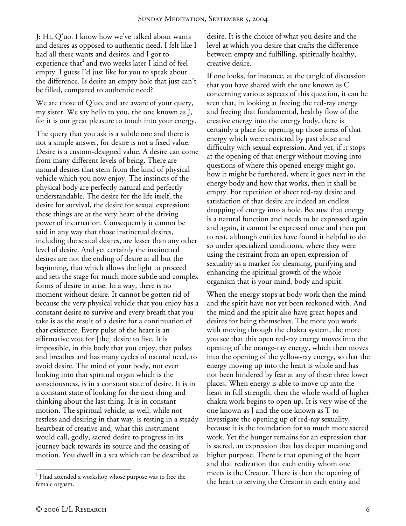**J:** Hi, Q'uo. I know how we've talked about wants and desires as opposed to authentic need. I felt like I had all these wants and desires, and I got to experience that<sup>2</sup> and two weeks later I kind of feel empty. I guess I'd just like for you to speak about the difference. Is desire an empty hole that just can't be filled, compared to authentic need?

We are those of Q'uo, and are aware of your query, my sister. We say hello to you, the one known as J, for it is our great pleasure to touch into your energy.

The query that you ask is a subtle one and there is not a simple answer, for desire is not a fixed value. Desire is a custom-designed value. A desire can come from many different levels of being. There are natural desires that stem from the kind of physical vehicle which you now enjoy. The instincts of the physical body are perfectly natural and perfectly understandable. The desire for the life itself, the desire for survival, the desire for sexual expression: these things are at the very heart of the driving power of incarnation. Consequently it cannot be said in any way that those instinctual desires, including the sexual desires, are lesser than any other level of desire. And yet certainly the instinctual desires are not the ending of desire at all but the beginning, that which allows the light to proceed and sets the stage for much more subtle and complex forms of desire to arise. In a way, there is no moment without desire. It cannot be gotten rid of because the very physical vehicle that you enjoy has a constant desire to survive and every breath that you take is as the result of a desire for a continuation of that existence. Every pulse of the heart is an affirmative vote for [the] desire to live. It is impossible, in this body that you enjoy, that pulses and breathes and has many cycles of natural need, to avoid desire. The mind of your body, not even looking into that spiritual organ which is the consciousness, is in a constant state of desire. It is in a constant state of looking for the next thing and thinking about the last thing. It is in constant motion. The spiritual vehicle, as well, while not restless and desiring in that way, is resting in a steady heartbeat of creative and, what this instrument would call, godly, sacred desire to progress in its journey back towards its source and the ceasing of motion. You dwell in a sea which can be described as

desire. It is the choice of what you desire and the level at which you desire that crafts the difference between empty and fulfilling, spiritually healthy, creative desire.

If one looks, for instance, at the tangle of discussion that you have shared with the one known as C concerning various aspects of this question, it can be seen that, in looking at freeing the red-ray energy and freeing that fundamental, healthy flow of the creative energy into the energy body, there is certainly a place for opening up those areas of that energy which were restricted by past abuse and difficulty with sexual expression. And yet, if it stops at the opening of that energy without moving into questions of where this opened energy might go, how it might be furthered, where it goes next in the energy body and how that works, then it shall be empty. For repetition of sheer red-ray desire and satisfaction of that desire are indeed an endless dropping of energy into a hole. Because that energy is a natural function and needs to be expressed again and again, it cannot be expressed once and then put to rest, although entities have found it helpful to do so under specialized conditions, where they were using the restraint from an open expression of sexuality as a marker for cleansing, purifying and enhancing the spiritual growth of the whole organism that is your mind, body and spirit.

When the energy stops at body work then the mind and the spirit have not yet been reckoned with. And the mind and the spirit also have great hopes and desires for being themselves. The more you work with moving through the chakra system, the more you see that this open red-ray energy moves into the opening of the orange-ray energy, which then moves into the opening of the yellow-ray energy, so that the energy moving up into the heart is whole and has not been hindered by fear at any of these three lower places. When energy is able to move up into the heart in full strength, then the whole world of higher chakra work begins to open up. It is very wise of the one known as J and the one known as T to investigate the opening up of red-ray sexuality, because it is the foundation for so much more sacred work. Yet the hunger remains for an expression that is sacred, an expression that has deeper meaning and higher purpose. There is that opening of the heart and that realization that each entity whom one meets is the Creator. There is then the opening of the heart to serving the Creator in each entity and

 $\overline{a}$ 

<sup>&</sup>lt;sup>2</sup> J had attended a workshop whose purpose was to free the female orgasm.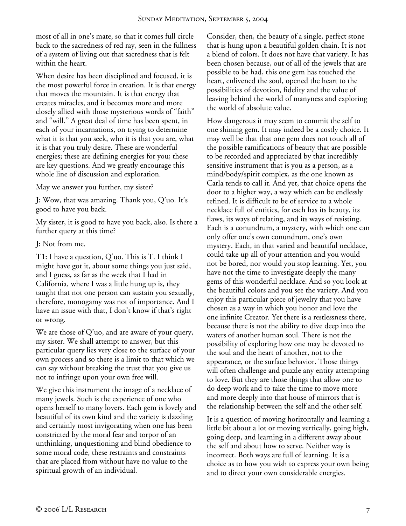most of all in one's mate, so that it comes full circle back to the sacredness of red ray, seen in the fullness of a system of living out that sacredness that is felt within the heart.

When desire has been disciplined and focused, it is the most powerful force in creation. It is that energy that moves the mountain. It is that energy that creates miracles, and it becomes more and more closely allied with those mysterious words of "faith" and "will." A great deal of time has been spent, in each of your incarnations, on trying to determine what it is that you seek, who it is that you are, what it is that you truly desire. These are wonderful energies; these are defining energies for you; these are key questions. And we greatly encourage this whole line of discussion and exploration.

May we answer you further, my sister?

**J:** Wow, that was amazing. Thank you, Q'uo. It's good to have you back.

My sister, it is good to have you back, also. Is there a further query at this time?

**J:** Not from me.

**T1:** I have a question, Q'uo. This is T. I think I might have got it, about some things you just said, and I guess, as far as the week that I had in California, where I was a little hung up is, they taught that not one person can sustain you sexually, therefore, monogamy was not of importance. And I have an issue with that, I don't know if that's right or wrong.

We are those of Q'uo, and are aware of your query, my sister. We shall attempt to answer, but this particular query lies very close to the surface of your own process and so there is a limit to that which we can say without breaking the trust that you give us not to infringe upon your own free will.

We give this instrument the image of a necklace of many jewels. Such is the experience of one who opens herself to many lovers. Each gem is lovely and beautiful of its own kind and the variety is dazzling and certainly most invigorating when one has been constricted by the moral fear and torpor of an unthinking, unquestioning and blind obedience to some moral code, these restraints and constraints that are placed from without have no value to the spiritual growth of an individual.

Consider, then, the beauty of a single, perfect stone that is hung upon a beautiful golden chain. It is not a blend of colors. It does not have that variety. It has been chosen because, out of all of the jewels that are possible to be had, this one gem has touched the heart, enlivened the soul, opened the heart to the possibilities of devotion, fidelity and the value of leaving behind the world of manyness and exploring the world of absolute value.

How dangerous it may seem to commit the self to one shining gem. It may indeed be a costly choice. It may well be that that one gem does not touch all of the possible ramifications of beauty that are possible to be recorded and appreciated by that incredibly sensitive instrument that is you as a person, as a mind/body/spirit complex, as the one known as Carla tends to call it. And yet, that choice opens the door to a higher way, a way which can be endlessly refined. It is difficult to be of service to a whole necklace full of entities, for each has its beauty, its flaws, its ways of relating, and its ways of resisting. Each is a conundrum, a mystery, with which one can only offer one's own conundrum, one's own mystery. Each, in that varied and beautiful necklace, could take up all of your attention and you would not be bored, nor would you stop learning. Yet, you have not the time to investigate deeply the many gems of this wonderful necklace. And so you look at the beautiful colors and you see the variety. And you enjoy this particular piece of jewelry that you have chosen as a way in which you honor and love the one infinite Creator. Yet there is a restlessness there, because there is not the ability to dive deep into the waters of another human soul. There is not the possibility of exploring how one may be devoted to the soul and the heart of another, not to the appearance, or the surface behavior. Those things will often challenge and puzzle any entity attempting to love. But they are those things that allow one to do deep work and to take the time to move more and more deeply into that house of mirrors that is the relationship between the self and the other self.

It is a question of moving horizontally and learning a little bit about a lot or moving vertically, going high, going deep, and learning in a different away about the self and about how to serve. Neither way is incorrect. Both ways are full of learning. It is a choice as to how you wish to express your own being and to direct your own considerable energies.